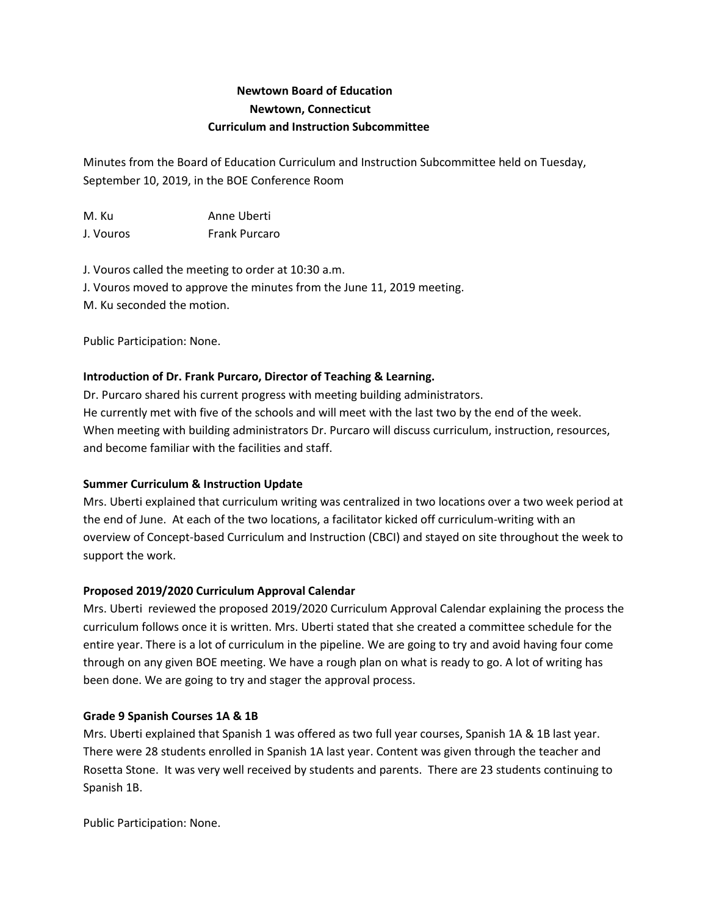# **Newtown Board of Education Newtown, Connecticut Curriculum and Instruction Subcommittee**

Minutes from the Board of Education Curriculum and Instruction Subcommittee held on Tuesday, September 10, 2019, in the BOE Conference Room

M. Ku Anne Uberti J. Vouros Frank Purcaro

J. Vouros called the meeting to order at 10:30 a.m. J. Vouros moved to approve the minutes from the June 11, 2019 meeting. M. Ku seconded the motion.

Public Participation: None.

## **Introduction of Dr. Frank Purcaro, Director of Teaching & Learning.**

Dr. Purcaro shared his current progress with meeting building administrators. He currently met with five of the schools and will meet with the last two by the end of the week. When meeting with building administrators Dr. Purcaro will discuss curriculum, instruction, resources, and become familiar with the facilities and staff.

## **Summer Curriculum & Instruction Update**

Mrs. Uberti explained that curriculum writing was centralized in two locations over a two week period at the end of June. At each of the two locations, a facilitator kicked off curriculum-writing with an overview of Concept-based Curriculum and Instruction (CBCI) and stayed on site throughout the week to support the work.

## **Proposed 2019/2020 Curriculum Approval Calendar**

Mrs. Uberti reviewed the proposed 2019/2020 Curriculum Approval Calendar explaining the process the curriculum follows once it is written. Mrs. Uberti stated that she created a committee schedule for the entire year. There is a lot of curriculum in the pipeline. We are going to try and avoid having four come through on any given BOE meeting. We have a rough plan on what is ready to go. A lot of writing has been done. We are going to try and stager the approval process.

### **Grade 9 Spanish Courses 1A & 1B**

Mrs. Uberti explained that Spanish 1 was offered as two full year courses, Spanish 1A & 1B last year. There were 28 students enrolled in Spanish 1A last year. Content was given through the teacher and Rosetta Stone. It was very well received by students and parents. There are 23 students continuing to Spanish 1B.

Public Participation: None.